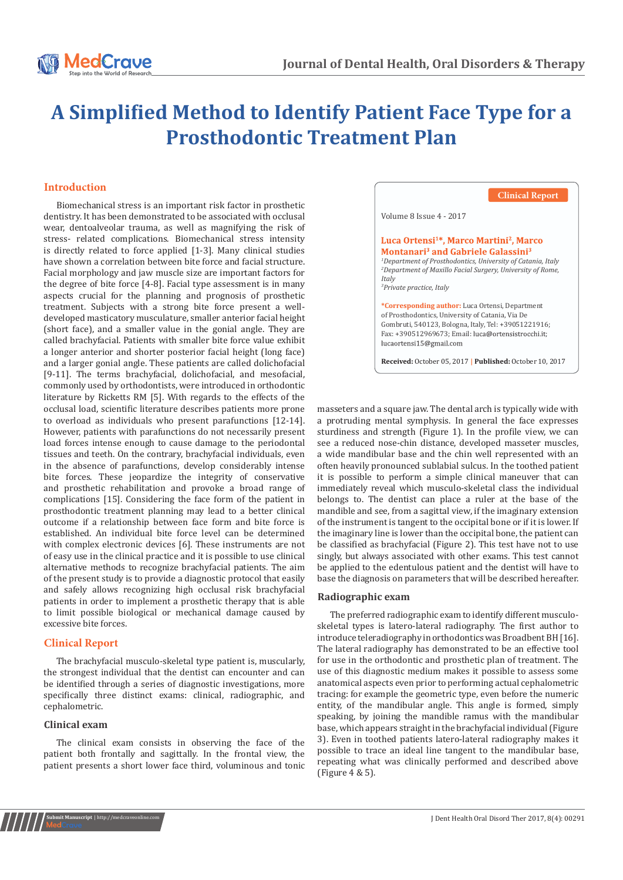

# **A Simplified Method to Identify Patient Face Type for a Prosthodontic Treatment Plan**

# **Introduction**

occlusal load, scientific literature describes patients more prone to overload as individuals who present parafunctions [12-14]. However, patients with parafunctions do not necessarily present load forces intense enough to cause damage to the periodontal tissues and teeth. On the contrary, brachyfacial individuals, even in the absence of parafunctions, develop considerably intense bite forces. These jeopardize the integrity of conservative and prosthetic rehabilitation and provoke a broad range of complications [15]. Considering the face form of the patient in prosthodontic treatment planning may lead to a better clinical outcome if a relationship between face form and bite force is established. An individual bite force level can be determined with complex electronic devices [6]. These instruments are not of easy use in the clinical practice and it is possible to use clinical alternative methods to recognize brachyfacial patients. The aim of the present study is to provide a diagnostic protocol that easily and safely allows recognizing high occlusal risk brachyfacial patients in order to implement a prosthetic therapy that is able to limit possible biological or mechanical damage caused by excessive bite forces. Biomechanical stress is an important risk factor in prosthetic dentistry. It has been demonstrated to be associated with occlusal wear, dentoalveolar trauma, as well as magnifying the risk of stress- related complications. Biomechanical stress intensity is directly related to force applied [1-3]. Many clinical studies have shown a correlation between bite force and facial structure. Facial morphology and jaw muscle size are important factors for the degree of bite force [4-8]. Facial type assessment is in many aspects crucial for the planning and prognosis of prosthetic treatment. Subjects with a strong bite force present a welldeveloped masticatory musculature, smaller anterior facial height (short face), and a smaller value in the gonial angle. They are called brachyfacial. Patients with smaller bite force value exhibit a longer anterior and shorter posterior facial height (long face) and a larger gonial angle. These patients are called dolichofacial [9-11]. The terms brachyfacial, dolichofacial, and mesofacial, commonly used by orthodontists, were introduced in orthodontic literature by Ricketts RM [5]. With regards to the effects of the

## **Clinical Report**

The brachyfacial musculo-skeletal type patient is, muscularly, the strongest individual that the dentist can encounter and can be identified through a series of diagnostic investigations, more specifically three distinct exams: clinical, radiographic, and cephalometric.

#### **Clinical exam**

The clinical exam consists in observing the face of the patient both frontally and sagittally. In the frontal view, the patient presents a short lower face third, voluminous and tonic

# **Clinical Report** Volume 8 Issue 4 - 2017 Luca Ortensi<sup>1\*</sup>, Marco Martini<sup>2</sup>, Marco Montanari<sup>3</sup> and Gabriele Galassini<sup>3</sup> *1 Department of Prosthodontics, University of Catania, Italy 2 Department of Maxillo Facial Surgery, University of Rome, Italy 3 Private practice, Italy* **\*Corresponding author:** Luca Ortensi, Department of Prosthodontics, University of Catania, Via De Gombruti, 540123, Bologna, Italy, Tel: +39051221916; Fax: +390512969673; Email: luca@ortensistrocchi.it;<br>lucaortensi15@gmail.com

**Received:** October 05, 2017 **| Published:** October 10, 2017

masseters and a square jaw. The dental arch is typically wide with a protruding mental symphysis. In general the face expresses sturdiness and strength (Figure 1). In the profile view, we can see a reduced nose-chin distance, developed masseter muscles, a wide mandibular base and the chin well represented with an often heavily pronounced sublabial sulcus. In the toothed patient it is possible to perform a simple clinical maneuver that can immediately reveal which musculo-skeletal class the individual belongs to. The dentist can place a ruler at the base of the mandible and see, from a sagittal view, if the imaginary extension of the instrument is tangent to the occipital bone or if it is lower. If the imaginary line is lower than the occipital bone, the patient can be classified as brachyfacial (Figure 2). This test have not to use singly, but always associated with other exams. This test cannot be applied to the edentulous patient and the dentist will have to base the diagnosis on parameters that will be described hereafter.

#### **Radiographic exam**

The preferred radiographic exam to identify different musculoskeletal types is latero-lateral radiography. The first author to introduce teleradiography in orthodontics was Broadbent BH [16]. The lateral radiography has demonstrated to be an effective tool for use in the orthodontic and prosthetic plan of treatment. The use of this diagnostic medium makes it possible to assess some anatomical aspects even prior to performing actual cephalometric tracing: for example the geometric type, even before the numeric entity, of the mandibular angle. This angle is formed, simply speaking, by joining the mandible ramus with the mandibular base, which appears straight in the brachyfacial individual (Figure 3). Even in toothed patients latero-lateral radiography makes it possible to trace an ideal line tangent to the mandibular base, repeating what was clinically performed and described above (Figure 4 & 5).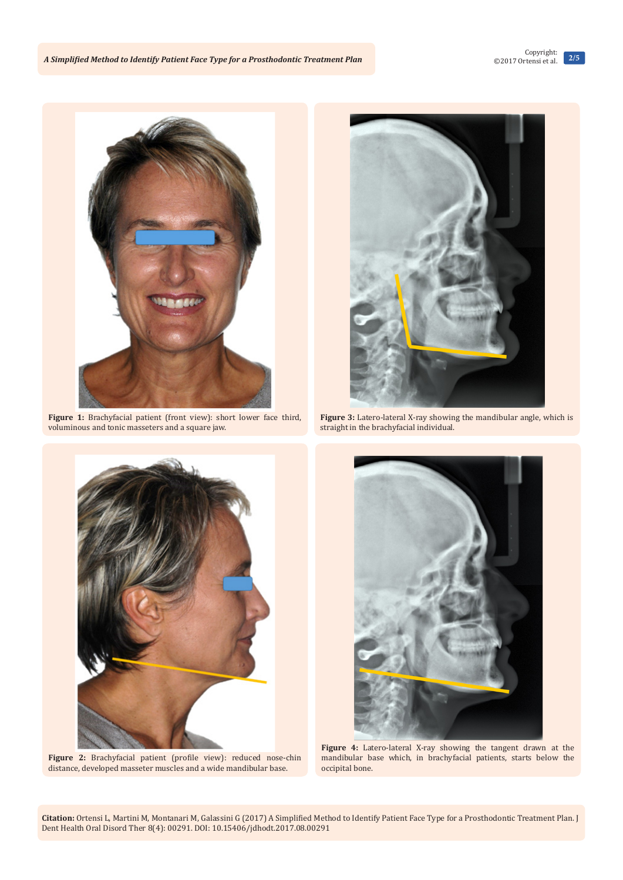

Figure 1: Brachyfacial patient (front view): short lower face third, voluminous and tonic masseters and a square jaw.



Figure 3: Latero-lateral X-ray showing the mandibular angle, which is straight in the brachyfacial individual.



**Figure 2:** Brachyfacial patient (profile view): reduced nose-chin distance, developed masseter muscles and a wide mandibular base.



**Figure 4:** Latero-lateral X-ray showing the tangent drawn at the mandibular base which, in brachyfacial patients, starts below the occipital bone.

**Citation:** Ortensi L, Martini M, Montanari M, Galassini G (2017) A Simplified Method to Identify Patient Face Type for a Prosthodontic Treatment Plan. J Dent Health Oral Disord Ther 8(4): 00291. DOI: [10.15406/jdhodt.2017.08.00291](http://dx.doi.org/10.15406/jdhodt.2017.08.00291)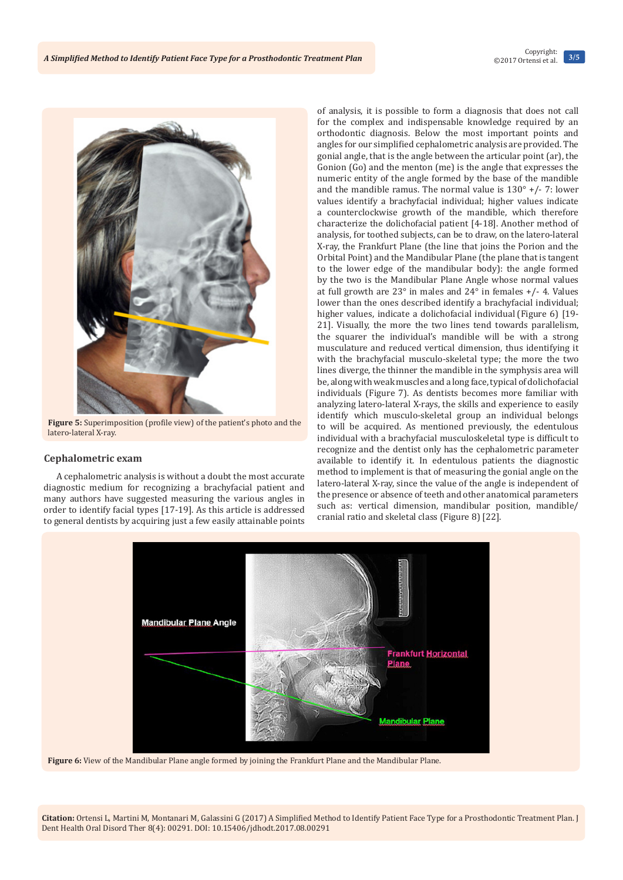

**Figure 5:** Superimposition (profile view) of the patient's photo and the latero-lateral X-ray.

#### **Cephalometric exam**

A cephalometric analysis is without a doubt the most accurate diagnostic medium for recognizing a brachyfacial patient and many authors have suggested measuring the various angles in order to identify facial types [17-19]. As this article is addressed to general dentists by acquiring just a few easily attainable points

of analysis, it is possible to form a diagnosis that does not call for the complex and indispensable knowledge required by an orthodontic diagnosis. Below the most important points and angles for our simplified cephalometric analysis are provided. The gonial angle, that is the angle between the articular point (ar), the Gonion (Go) and the menton (me) is the angle that expresses the numeric entity of the angle formed by the base of the mandible and the mandible ramus. The normal value is  $130^\circ$  +/- 7: lower values identify a brachyfacial individual; higher values indicate a counterclockwise growth of the mandible, which therefore characterize the dolichofacial patient [4-18]. Another method of analysis, for toothed subjects, can be to draw, on the latero-lateral X-ray, the Frankfurt Plane (the line that joins the Porion and the Orbital Point) and the Mandibular Plane (the plane that is tangent to the lower edge of the mandibular body): the angle formed by the two is the Mandibular Plane Angle whose normal values at full growth are 23° in males and 24° in females +/- 4. Values lower than the ones described identify a brachyfacial individual; higher values, indicate a dolichofacial individual (Figure 6) [19- 21]. Visually, the more the two lines tend towards parallelism, the squarer the individual's mandible will be with a strong musculature and reduced vertical dimension, thus identifying it with the brachyfacial musculo-skeletal type; the more the two lines diverge, the thinner the mandible in the symphysis area will be, along with weak muscles and a long face, typical of dolichofacial individuals (Figure 7). As dentists becomes more familiar with analyzing latero-lateral X-rays, the skills and experience to easily identify which musculo-skeletal group an individual belongs to will be acquired. As mentioned previously, the edentulous individual with a brachyfacial musculoskeletal type is difficult to recognize and the dentist only has the cephalometric parameter available to identify it. In edentulous patients the diagnostic method to implement is that of measuring the gonial angle on the latero-lateral X-ray, since the value of the angle is independent of the presence or absence of teeth and other anatomical parameters such as: vertical dimension, mandibular position, mandible/ cranial ratio and skeletal class (Figure 8) [22].



**Figure 6:** View of the Mandibular Plane angle formed by joining the Frankfurt Plane and the Mandibular Plane.

**Citation:** Ortensi L, Martini M, Montanari M, Galassini G (2017) A Simplified Method to Identify Patient Face Type for a Prosthodontic Treatment Plan. J Dent Health Oral Disord Ther 8(4): 00291. DOI: [10.15406/jdhodt.2017.08.00291](http://dx.doi.org/10.15406/jdhodt.2017.08.00291)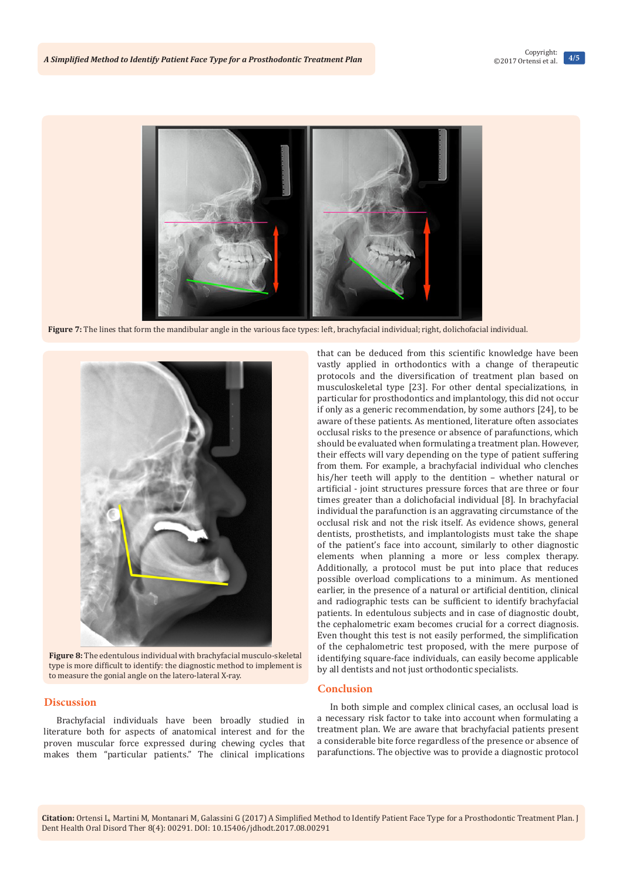

**Figure 7:** The lines that form the mandibular angle in the various face types: left, brachyfacial individual; right, dolichofacial individual.



**Figure 8:** The edentulous individual with brachyfacial musculo-skeletal type is more difficult to identify: the diagnostic method to implement is to measure the gonial angle on the latero-lateral X-ray.

## **Discussion**

Brachyfacial individuals have been broadly studied in literature both for aspects of anatomical interest and for the proven muscular force expressed during chewing cycles that makes them "particular patients." The clinical implications that can be deduced from this scientific knowledge have been vastly applied in orthodontics with a change of therapeutic protocols and the diversification of treatment plan based on musculoskeletal type [23]. For other dental specializations, in particular for prosthodontics and implantology, this did not occur if only as a generic recommendation, by some authors [24], to be aware of these patients. As mentioned, literature often associates occlusal risks to the presence or absence of parafunctions, which should be evaluated when formulating a treatment plan. However, their effects will vary depending on the type of patient suffering from them. For example, a brachyfacial individual who clenches his/her teeth will apply to the dentition – whether natural or artificial - joint structures pressure forces that are three or four times greater than a dolichofacial individual [8]. In brachyfacial individual the parafunction is an aggravating circumstance of the occlusal risk and not the risk itself. As evidence shows, general dentists, prosthetists, and implantologists must take the shape of the patient's face into account, similarly to other diagnostic elements when planning a more or less complex therapy. Additionally, a protocol must be put into place that reduces possible overload complications to a minimum. As mentioned earlier, in the presence of a natural or artificial dentition, clinical and radiographic tests can be sufficient to identify brachyfacial patients. In edentulous subjects and in case of diagnostic doubt, the cephalometric exam becomes crucial for a correct diagnosis. Even thought this test is not easily performed, the simplification of the cephalometric test proposed, with the mere purpose of identifying square-face individuals, can easily become applicable by all dentists and not just orthodontic specialists.

#### **Conclusion**

In both simple and complex clinical cases, an occlusal load is a necessary risk factor to take into account when formulating a treatment plan. We are aware that brachyfacial patients present a considerable bite force regardless of the presence or absence of parafunctions. The objective was to provide a diagnostic protocol

**Citation:** Ortensi L, Martini M, Montanari M, Galassini G (2017) A Simplified Method to Identify Patient Face Type for a Prosthodontic Treatment Plan. J Dent Health Oral Disord Ther 8(4): 00291. DOI: [10.15406/jdhodt.2017.08.00291](http://dx.doi.org/10.15406/jdhodt.2017.08.00291)